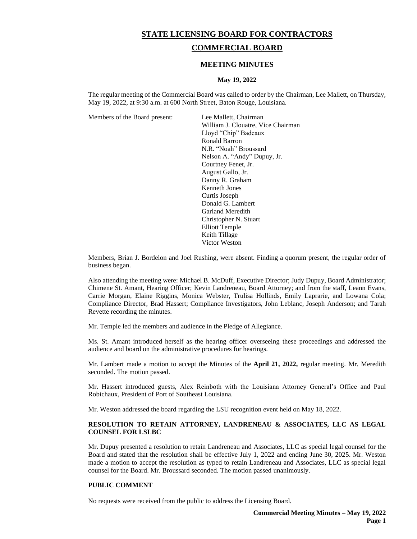# **STATE LICENSING BOARD FOR CONTRACTORS**

# **COMMERCIAL BOARD**

### **MEETING MINUTES**

#### **May 19, 2022**

The regular meeting of the Commercial Board was called to order by the Chairman, Lee Mallett, on Thursday, May 19, 2022, at 9:30 a.m. at 600 North Street, Baton Rouge, Louisiana.

Members of the Board present: Lee Mallett, Chairman

William J. Clouatre, Vice Chairman Lloyd "Chip" Badeaux Ronald Barron N.R. "Noah" Broussard Nelson A. "Andy" Dupuy, Jr. Courtney Fenet, Jr. August Gallo, Jr. Danny R. Graham Kenneth Jones Curtis Joseph Donald G. Lambert Garland Meredith Christopher N. Stuart Elliott Temple Keith Tillage Victor Weston

Members, Brian J. Bordelon and Joel Rushing, were absent. Finding a quorum present, the regular order of business began.

Also attending the meeting were: Michael B. McDuff, Executive Director; Judy Dupuy, Board Administrator; Chimene St. Amant, Hearing Officer; Kevin Landreneau, Board Attorney; and from the staff, Leann Evans, Carrie Morgan, Elaine Riggins, Monica Webster, Trulisa Hollinds, Emily Laprarie, and Lowana Cola; Compliance Director, Brad Hassert; Compliance Investigators, John Leblanc, Joseph Anderson; and Tarah Revette recording the minutes.

Mr. Temple led the members and audience in the Pledge of Allegiance.

Ms. St. Amant introduced herself as the hearing officer overseeing these proceedings and addressed the audience and board on the administrative procedures for hearings.

Mr. Lambert made a motion to accept the Minutes of the **April 21, 2022**, regular meeting. Mr. Meredith seconded. The motion passed.

Mr. Hassert introduced guests, Alex Reinboth with the Louisiana Attorney General's Office and Paul Robichaux, President of Port of Southeast Louisiana.

Mr. Weston addressed the board regarding the LSU recognition event held on May 18, 2022.

# **RESOLUTION TO RETAIN ATTORNEY, LANDRENEAU & ASSOCIATES, LLC AS LEGAL COUNSEL FOR LSLBC**

Mr. Dupuy presented a resolution to retain Landreneau and Associates, LLC as special legal counsel for the Board and stated that the resolution shall be effective July 1, 2022 and ending June 30, 2025. Mr. Weston made a motion to accept the resolution as typed to retain Landreneau and Associates, LLC as special legal counsel for the Board. Mr. Broussard seconded. The motion passed unanimously.

#### **PUBLIC COMMENT**

No requests were received from the public to address the Licensing Board.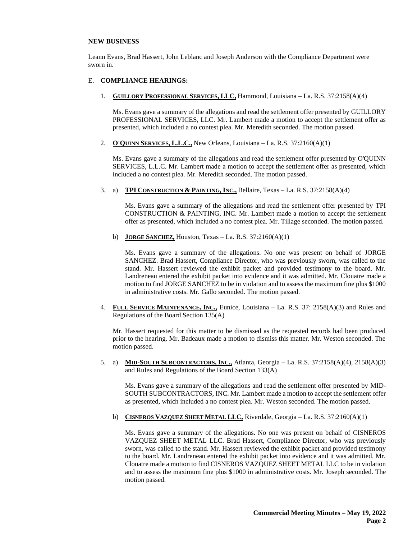### **NEW BUSINESS**

Leann Evans, Brad Hassert, John Leblanc and Joseph Anderson with the Compliance Department were sworn in.

### E. **COMPLIANCE HEARINGS:**

1. **GUILLORY PROFESSIONAL SERVICES, LLC,** Hammond, Louisiana – La. R.S. 37:2158(A)(4)

Ms. Evans gave a summary of the allegations and read the settlement offer presented by GUILLORY PROFESSIONAL SERVICES, LLC. Mr. Lambert made a motion to accept the settlement offer as presented, which included a no contest plea. Mr. Meredith seconded. The motion passed.

2. **O'QUINN SERVICES, L.L.C.,** New Orleans, Louisiana – La. R.S. 37:2160(A)(1)

Ms. Evans gave a summary of the allegations and read the settlement offer presented by O'QUINN SERVICES, L.L.C. Mr. Lambert made a motion to accept the settlement offer as presented, which included a no contest plea. Mr. Meredith seconded. The motion passed.

3. a) **TPI CONSTRUCTION & PAINTING, INC.,** Bellaire, Texas – La. R.S. 37:2158(A)(4)

Ms. Evans gave a summary of the allegations and read the settlement offer presented by TPI CONSTRUCTION & PAINTING, INC. Mr. Lambert made a motion to accept the settlement offer as presented, which included a no contest plea. Mr. Tillage seconded. The motion passed.

b) **JORGE SANCHEZ,** Houston, Texas – La. R.S. 37:2160(A)(1)

Ms. Evans gave a summary of the allegations. No one was present on behalf of JORGE SANCHEZ. Brad Hassert, Compliance Director, who was previously sworn, was called to the stand. Mr. Hassert reviewed the exhibit packet and provided testimony to the board. Mr. Landreneau entered the exhibit packet into evidence and it was admitted. Mr. Clouatre made a motion to find JORGE SANCHEZ to be in violation and to assess the maximum fine plus \$1000 in administrative costs. Mr. Gallo seconded. The motion passed.

4. **FULL SERVICE MAINTENANCE, INC.,** Eunice, Louisiana – La. R.S. 37: 2158(A)(3) and Rules and Regulations of the Board Section 135(A)

Mr. Hassert requested for this matter to be dismissed as the requested records had been produced prior to the hearing. Mr. Badeaux made a motion to dismiss this matter. Mr. Weston seconded. The motion passed.

5. a) **MID-SOUTH SUBCONTRACTORS, INC.,** Atlanta, Georgia – La. R.S. 37:2158(A)(4), 2158(A)(3) and Rules and Regulations of the Board Section 133(A)

Ms. Evans gave a summary of the allegations and read the settlement offer presented by MID-SOUTH SUBCONTRACTORS, INC. Mr. Lambert made a motion to accept the settlement offer as presented, which included a no contest plea. Mr. Weston seconded. The motion passed.

b) **CISNEROS VAZQUEZ SHEET METAL LLC,** Riverdale, Georgia – La. R.S. 37:2160(A)(1)

Ms. Evans gave a summary of the allegations. No one was present on behalf of CISNEROS VAZQUEZ SHEET METAL LLC. Brad Hassert, Compliance Director, who was previously sworn, was called to the stand. Mr. Hassert reviewed the exhibit packet and provided testimony to the board. Mr. Landreneau entered the exhibit packet into evidence and it was admitted. Mr. Clouatre made a motion to find CISNEROS VAZQUEZ SHEET METAL LLC to be in violation and to assess the maximum fine plus \$1000 in administrative costs. Mr. Joseph seconded. The motion passed.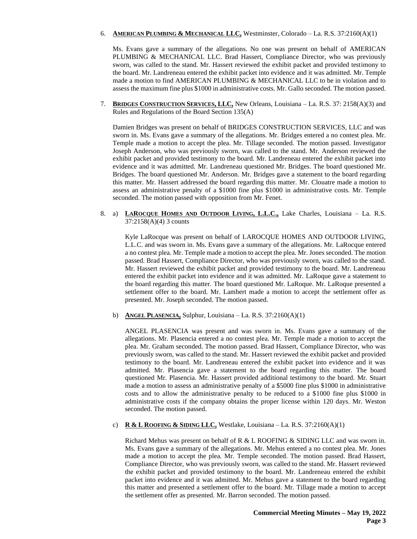### 6. **AMERICAN PLUMBING & MECHANICAL LLC,** Westminster, Colorado – La. R.S. 37:2160(A)(1)

Ms. Evans gave a summary of the allegations. No one was present on behalf of AMERICAN PLUMBING & MECHANICAL LLC. Brad Hassert, Compliance Director, who was previously sworn, was called to the stand. Mr. Hassert reviewed the exhibit packet and provided testimony to the board. Mr. Landreneau entered the exhibit packet into evidence and it was admitted. Mr. Temple made a motion to find AMERICAN PLUMBING & MECHANICAL LLC to be in violation and to assess the maximum fine plus \$1000 in administrative costs. Mr. Gallo seconded. The motion passed.

7. **BRIDGES CONSTRUCTION SERVICES, LLC,** New Orleans, Louisiana – La. R.S. 37: 2158(A)(3) and Rules and Regulations of the Board Section 135(A)

Damien Bridges was present on behalf of BRIDGES CONSTRUCTION SERVICES, LLC and was sworn in. Ms. Evans gave a summary of the allegations. Mr. Bridges entered a no contest plea. Mr. Temple made a motion to accept the plea. Mr. Tillage seconded. The motion passed. Investigator Joseph Anderson, who was previously sworn, was called to the stand. Mr. Anderson reviewed the exhibit packet and provided testimony to the board. Mr. Landreneau entered the exhibit packet into evidence and it was admitted. Mr. Landreneau questioned Mr. Bridges. The board questioned Mr. Bridges. The board questioned Mr. Anderson. Mr. Bridges gave a statement to the board regarding this matter. Mr. Hassert addressed the board regarding this matter. Mr. Clouatre made a motion to assess an administrative penalty of a \$1000 fine plus \$1000 in administrative costs. Mr. Temple seconded. The motion passed with opposition from Mr. Fenet.

8. a) **LAROCQUE HOMES AND OUTDOOR LIVING, L.L.C.,** Lake Charles, Louisiana – La. R.S. 37:2158(A)(4) 3 counts

Kyle LaRocque was present on behalf of LAROCQUE HOMES AND OUTDOOR LIVING, L.L.C. and was sworn in. Ms. Evans gave a summary of the allegations. Mr. LaRocque entered a no contest plea. Mr. Temple made a motion to accept the plea. Mr. Jones seconded. The motion passed. Brad Hassert, Compliance Director, who was previously sworn, was called to the stand. Mr. Hassert reviewed the exhibit packet and provided testimony to the board. Mr. Landreneau entered the exhibit packet into evidence and it was admitted. Mr. LaRoque gave a statement to the board regarding this matter. The board questioned Mr. LaRoque. Mr. LaRoque presented a settlement offer to the board. Mr. Lambert made a motion to accept the settlement offer as presented. Mr. Joseph seconded. The motion passed.

b) **ANGEL PLASENCIA,** Sulphur, Louisiana – La. R.S. 37:2160(A)(1)

ANGEL PLASENCIA was present and was sworn in. Ms. Evans gave a summary of the allegations. Mr. Plasencia entered a no contest plea. Mr. Temple made a motion to accept the plea. Mr. Graham seconded. The motion passed. Brad Hassert, Compliance Director, who was previously sworn, was called to the stand. Mr. Hassert reviewed the exhibit packet and provided testimony to the board. Mr. Landreneau entered the exhibit packet into evidence and it was admitted. Mr. Plasencia gave a statement to the board regarding this matter. The board questioned Mr. Plasencia. Mr. Hassert provided additional testimony to the board. Mr. Stuart made a motion to assess an administrative penalty of a \$5000 fine plus \$1000 in administrative costs and to allow the administrative penalty to be reduced to a \$1000 fine plus \$1000 in administrative costs if the company obtains the proper license within 120 days. Mr. Weston seconded. The motion passed.

c) **R & L ROOFING & SIDING LLC,** Westlake, Louisiana – La. R.S. 37:2160(A)(1)

Richard Mehus was present on behalf of R & L ROOFING & SIDING LLC and was sworn in. Ms. Evans gave a summary of the allegations. Mr. Mehus entered a no contest plea. Mr. Jones made a motion to accept the plea. Mr. Temple seconded. The motion passed. Brad Hassert, Compliance Director, who was previously sworn, was called to the stand. Mr. Hassert reviewed the exhibit packet and provided testimony to the board. Mr. Landreneau entered the exhibit packet into evidence and it was admitted. Mr. Mehus gave a statement to the board regarding this matter and presented a settlement offer to the board. Mr. Tillage made a motion to accept the settlement offer as presented. Mr. Barron seconded. The motion passed.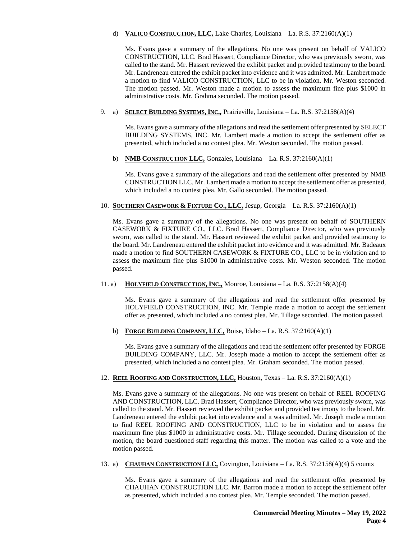# d) **VALICO CONSTRUCTION, LLC,** Lake Charles, Louisiana – La. R.S. 37:2160(A)(1)

Ms. Evans gave a summary of the allegations. No one was present on behalf of VALICO CONSTRUCTION, LLC. Brad Hassert, Compliance Director, who was previously sworn, was called to the stand. Mr. Hassert reviewed the exhibit packet and provided testimony to the board. Mr. Landreneau entered the exhibit packet into evidence and it was admitted. Mr. Lambert made a motion to find VALICO CONSTRUCTION, LLC to be in violation. Mr. Weston seconded. The motion passed. Mr. Weston made a motion to assess the maximum fine plus \$1000 in administrative costs. Mr. Grahma seconded. The motion passed.

# 9. a) **SELECT BUILDING SYSTEMS, INC.,** Prairieville, Louisiana – La. R.S. 37:2158(A)(4)

Ms. Evans gave a summary of the allegations and read the settlement offer presented by SELECT BUILDING SYSTEMS, INC. Mr. Lambert made a motion to accept the settlement offer as presented, which included a no contest plea. Mr. Weston seconded. The motion passed.

b) **NMB CONSTRUCTION LLC,** Gonzales, Louisiana – La. R.S. 37:2160(A)(1)

Ms. Evans gave a summary of the allegations and read the settlement offer presented by NMB CONSTRUCTION LLC. Mr. Lambert made a motion to accept the settlement offer as presented, which included a no contest plea. Mr. Gallo seconded. The motion passed.

# 10. **SOUTHERN CASEWORK & FIXTURE CO., LLC,** Jesup, Georgia – La. R.S. 37:2160(A)(1)

Ms. Evans gave a summary of the allegations. No one was present on behalf of SOUTHERN CASEWORK & FIXTURE CO., LLC. Brad Hassert, Compliance Director, who was previously sworn, was called to the stand. Mr. Hassert reviewed the exhibit packet and provided testimony to the board. Mr. Landreneau entered the exhibit packet into evidence and it was admitted. Mr. Badeaux made a motion to find SOUTHERN CASEWORK & FIXTURE CO., LLC to be in violation and to assess the maximum fine plus \$1000 in administrative costs. Mr. Weston seconded. The motion passed.

11. a) **HOLYFIELD CONSTRUCTION, INC.,** Monroe, Louisiana – La. R.S. 37:2158(A)(4)

Ms. Evans gave a summary of the allegations and read the settlement offer presented by HOLYFIELD CONSTRUCTION, INC. Mr. Temple made a motion to accept the settlement offer as presented, which included a no contest plea. Mr. Tillage seconded. The motion passed.

b) **FORGE BUILDING COMPANY, LLC,** Boise, Idaho – La. R.S. 37:2160(A)(1)

Ms. Evans gave a summary of the allegations and read the settlement offer presented by FORGE BUILDING COMPANY, LLC. Mr. Joseph made a motion to accept the settlement offer as presented, which included a no contest plea. Mr. Graham seconded. The motion passed.

# 12. **REEL ROOFING AND CONSTRUCTION, LLC,** Houston, Texas – La. R.S. 37:2160(A)(1)

Ms. Evans gave a summary of the allegations. No one was present on behalf of REEL ROOFING AND CONSTRUCTION, LLC. Brad Hassert, Compliance Director, who was previously sworn, was called to the stand. Mr. Hassert reviewed the exhibit packet and provided testimony to the board. Mr. Landreneau entered the exhibit packet into evidence and it was admitted. Mr. Joseph made a motion to find REEL ROOFING AND CONSTRUCTION, LLC to be in violation and to assess the maximum fine plus \$1000 in administrative costs. Mr. Tillage seconded. During discussion of the motion, the board questioned staff regarding this matter. The motion was called to a vote and the motion passed.

13. a) **CHAUHAN CONSTRUCTION LLC,** Covington, Louisiana – La. R.S. 37:2158(A)(4) 5 counts

Ms. Evans gave a summary of the allegations and read the settlement offer presented by CHAUHAN CONSTRUCTION LLC. Mr. Barron made a motion to accept the settlement offer as presented, which included a no contest plea. Mr. Temple seconded. The motion passed.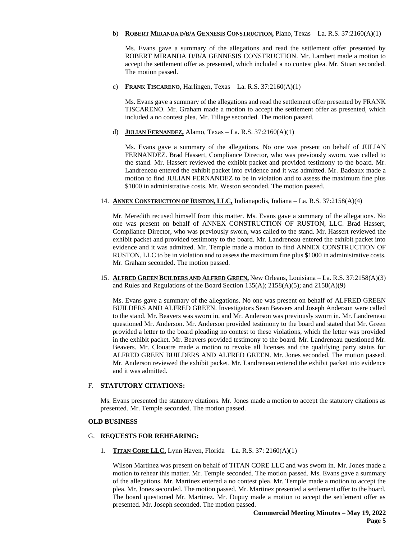### b) **ROBERT MIRANDA D/B/A GENNESIS CONSTRUCTION,** Plano, Texas – La. R.S. 37:2160(A)(1)

Ms. Evans gave a summary of the allegations and read the settlement offer presented by ROBERT MIRANDA D/B/A GENNESIS CONSTRUCTION. Mr. Lambert made a motion to accept the settlement offer as presented, which included a no contest plea. Mr. Stuart seconded. The motion passed.

c) **FRANK TISCARENO,** Harlingen, Texas – La. R.S. 37:2160(A)(1)

Ms. Evans gave a summary of the allegations and read the settlement offer presented by FRANK TISCARENO. Mr. Graham made a motion to accept the settlement offer as presented, which included a no contest plea. Mr. Tillage seconded. The motion passed.

d) **JULIAN FERNANDEZ,** Alamo, Texas – La. R.S. 37:2160(A)(1)

Ms. Evans gave a summary of the allegations. No one was present on behalf of JULIAN FERNANDEZ. Brad Hassert, Compliance Director, who was previously sworn, was called to the stand. Mr. Hassert reviewed the exhibit packet and provided testimony to the board. Mr. Landreneau entered the exhibit packet into evidence and it was admitted. Mr. Badeaux made a motion to find JULIAN FERNANDEZ to be in violation and to assess the maximum fine plus \$1000 in administrative costs. Mr. Weston seconded. The motion passed.

14. **ANNEX CONSTRUCTION OF RUSTON, LLC,** Indianapolis, Indiana – La. R.S. 37:2158(A)(4)

Mr. Meredith recused himself from this matter. Ms. Evans gave a summary of the allegations. No one was present on behalf of ANNEX CONSTRUCTION OF RUSTON, LLC. Brad Hassert, Compliance Director, who was previously sworn, was called to the stand. Mr. Hassert reviewed the exhibit packet and provided testimony to the board. Mr. Landreneau entered the exhibit packet into evidence and it was admitted. Mr. Temple made a motion to find ANNEX CONSTRUCTION OF RUSTON, LLC to be in violation and to assess the maximum fine plus \$1000 in administrative costs. Mr. Graham seconded. The motion passed.

15. **ALFRED GREEN BUILDERS AND ALFRED GREEN,** New Orleans, Louisiana – La. R.S. 37:2158(A)(3) and Rules and Regulations of the Board Section 135(A); 2158(A)(5); and 2158(A)(9)

Ms. Evans gave a summary of the allegations. No one was present on behalf of ALFRED GREEN BUILDERS AND ALFRED GREEN. Investigators Sean Beavers and Joseph Anderson were called to the stand. Mr. Beavers was sworn in, and Mr. Anderson was previously sworn in. Mr. Landreneau questioned Mr. Anderson. Mr. Anderson provided testimony to the board and stated that Mr. Green provided a letter to the board pleading no contest to these violations, which the letter was provided in the exhibit packet. Mr. Beavers provided testimony to the board. Mr. Landreneau questioned Mr. Beavers. Mr. Clouatre made a motion to revoke all licenses and the qualifying party status for ALFRED GREEN BUILDERS AND ALFRED GREEN. Mr. Jones seconded. The motion passed. Mr. Anderson reviewed the exhibit packet. Mr. Landreneau entered the exhibit packet into evidence and it was admitted.

# F. **STATUTORY CITATIONS:**

Ms. Evans presented the statutory citations. Mr. Jones made a motion to accept the statutory citations as presented. Mr. Temple seconded. The motion passed.

# **OLD BUSINESS**

# G. **REQUESTS FOR REHEARING:**

1. **TITAN CORE LLC,** Lynn Haven, Florida – La. R.S. 37: 2160(A)(1)

Wilson Martinez was present on behalf of TITAN CORE LLC and was sworn in. Mr. Jones made a motion to rehear this matter. Mr. Temple seconded. The motion passed. Ms. Evans gave a summary of the allegations. Mr. Martinez entered a no contest plea. Mr. Temple made a motion to accept the plea. Mr. Jones seconded. The motion passed. Mr. Martinez presented a settlement offer to the board. The board questioned Mr. Martinez. Mr. Dupuy made a motion to accept the settlement offer as presented. Mr. Joseph seconded. The motion passed.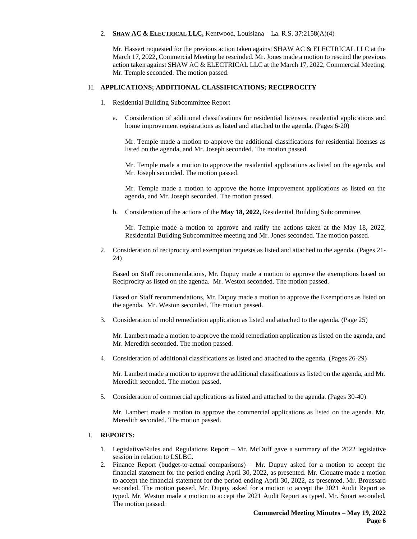### 2. **SHAW AC & ELECTRICAL LLC,** Kentwood, Louisiana – La. R.S. 37:2158(A)(4)

Mr. Hassert requested for the previous action taken against SHAW AC & ELECTRICAL LLC at the March 17, 2022, Commercial Meeting be rescinded. Mr. Jones made a motion to rescind the previous action taken against SHAW AC & ELECTRICAL LLC at the March 17, 2022, Commercial Meeting. Mr. Temple seconded. The motion passed.

### H. **APPLICATIONS; ADDITIONAL CLASSIFICATIONS; RECIPROCITY**

- 1. Residential Building Subcommittee Report
	- a. Consideration of additional classifications for residential licenses, residential applications and home improvement registrations as listed and attached to the agenda. (Pages 6-20)

Mr. Temple made a motion to approve the additional classifications for residential licenses as listed on the agenda, and Mr. Joseph seconded. The motion passed.

Mr. Temple made a motion to approve the residential applications as listed on the agenda, and Mr. Joseph seconded. The motion passed.

Mr. Temple made a motion to approve the home improvement applications as listed on the agenda, and Mr. Joseph seconded. The motion passed.

b. Consideration of the actions of the **May 18, 2022,** Residential Building Subcommittee.

Mr. Temple made a motion to approve and ratify the actions taken at the May 18, 2022, Residential Building Subcommittee meeting and Mr. Jones seconded. The motion passed.

2. Consideration of reciprocity and exemption requests as listed and attached to the agenda. (Pages 21- 24)

Based on Staff recommendations, Mr. Dupuy made a motion to approve the exemptions based on Reciprocity as listed on the agenda. Mr. Weston seconded. The motion passed.

Based on Staff recommendations, Mr. Dupuy made a motion to approve the Exemptions as listed on the agenda. Mr. Weston seconded. The motion passed.

3. Consideration of mold remediation application as listed and attached to the agenda. (Page 25)

Mr. Lambert made a motion to approve the mold remediation application as listed on the agenda, and Mr. Meredith seconded. The motion passed.

4. Consideration of additional classifications as listed and attached to the agenda. (Pages 26-29)

Mr. Lambert made a motion to approve the additional classifications as listed on the agenda, and Mr. Meredith seconded. The motion passed.

5. Consideration of commercial applications as listed and attached to the agenda. (Pages 30-40)

Mr. Lambert made a motion to approve the commercial applications as listed on the agenda. Mr. Meredith seconded. The motion passed.

#### I. **REPORTS:**

- 1. Legislative/Rules and Regulations Report Mr. McDuff gave a summary of the 2022 legislative session in relation to LSLBC.
- 2. Finance Report (budget-to-actual comparisons) Mr. Dupuy asked for a motion to accept the financial statement for the period ending April 30, 2022, as presented. Mr. Clouatre made a motion to accept the financial statement for the period ending April 30, 2022, as presented. Mr. Broussard seconded. The motion passed. Mr. Dupuy asked for a motion to accept the 2021 Audit Report as typed. Mr. Weston made a motion to accept the 2021 Audit Report as typed. Mr. Stuart seconded. The motion passed.